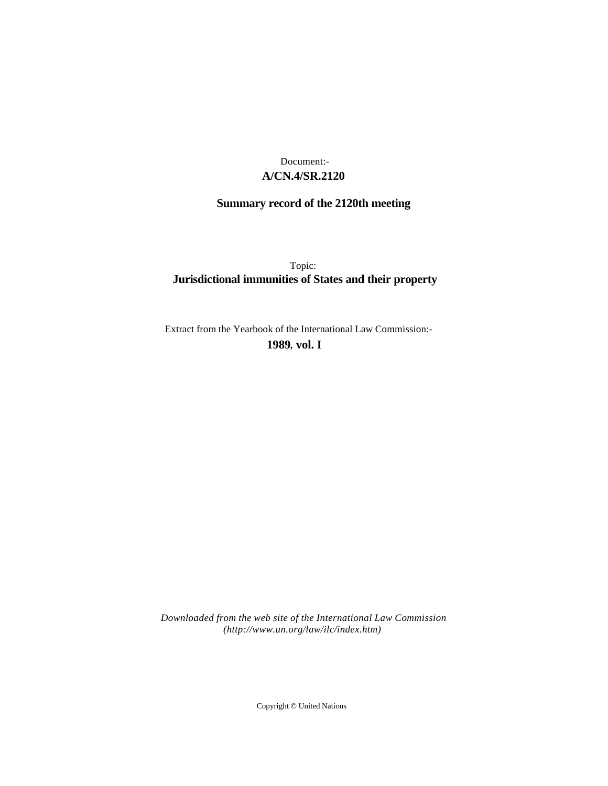## **A/CN.4/SR.2120** Document:-

# **Summary record of the 2120th meeting**

Topic: **Jurisdictional immunities of States and their property**

Extract from the Yearbook of the International Law Commission:-

**1989** , **vol. I**

*Downloaded from the web site of the International Law Commission (http://www.un.org/law/ilc/index.htm)*

Copyright © United Nations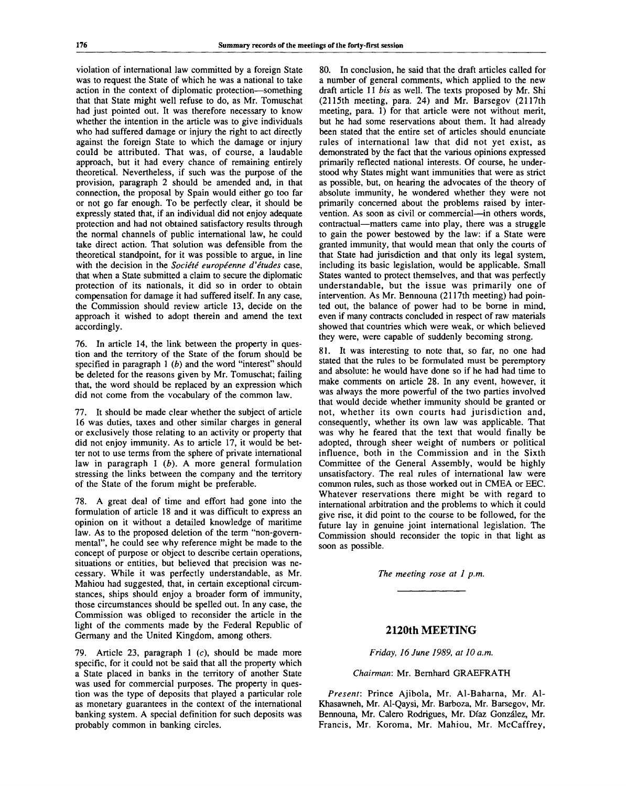violation of international law committed by a foreign State was to request the State of which he was a national to take action in the context of diplomatic protection—something that that State might well refuse to do, as Mr. Tomuschat had just pointed out. It was therefore necessary to know whether the intention in the article was to give individuals who had suffered damage or injury the right to act directly against the foreign State to which the damage or injury could be attributed. That was, of course, a laudable approach, but it had every chance of remaining entirely theoretical. Nevertheless, if such was the purpose of the provision, paragraph 2 should be amended and, in that connection, the proposal by Spain would either go too far or not go far enough. To be perfectly clear, it should be expressly stated that, if an individual did not enjoy adequate protection and had not obtained satisfactory results through the normal channels of public international law, he could take direct action. That solution was defensible from the theoretical standpoint, for it was possible to argue, in line with the decision in the *Société européenne d'études* case. that when a State submitted a claim to secure the diplomatic protection of its nationals, it did so in order to obtain compensation for damage it had suffered itself. In any case, the Commission should review article 13, decide on the approach it wished to adopt therein and amend the text accordingly.

76. In article 14, the link between the property in question and the territory of the State of the forum should be specified in paragraph 1 *(b)* and the word "interest" should be deleted for the reasons given by Mr. Tomuschat; failing that, the word should be replaced by an expression which did not come from the vocabulary of the common law.

77. It should be made clear whether the subject of article 16 was duties, taxes and other similar charges in general or exclusively those relating to an activity or property that did not enjoy immunity. As to article 17, it would be better not to use terms from the sphere of private international law in paragraph 1 *(b).* A more general formulation stressing the links between the company and the territory of the State of the forum might be preferable.

78. A great deal of time and effort had gone into the formulation of article 18 and it was difficult to express an opinion on it without a detailed knowledge of maritime law. As to the proposed deletion of the term "non-governmental", he could see why reference might be made to the concept of purpose or object to describe certain operations, situations or entities, but believed that precision was necessary. While it was perfectly understandable, as Mr. Mahiou had suggested, that, in certain exceptional circumstances, ships should enjoy a broader form of immunity, those circumstances should be spelled out. In any case, the Commission was obliged to reconsider the article in the light of the comments made by the Federal Republic of Germany and the United Kingdom, among others.

79. Article 23, paragraph 1 (c), should be made more specific, for it could not be said that all the property which a State placed in banks in the territory of another State was used for commercial purposes. The property in question was the type of deposits that played a particular role as monetary guarantees in the context of the international banking system. A special definition for such deposits was probably common in banking circles.

80. In conclusion, he said that the draft articles called for a number of general comments, which applied to the new draft article 11 *bis* as well. The texts proposed by Mr. Shi (2115th meeting, para. 24) and Mr. Barsegov (2117th meeting, para. 1) for that article were not without merit, but he had some reservations about them. It had already been stated that the entire set of articles should enunciate rules of international law that did not yet exist, as demonstrated by the fact that the various opinions expressed primarily reflected national interests. Of course, he understood why States might want immunities that were as strict as possible, but, on hearing the advocates of the theory of absolute immunity, he wondered whether they were not primarily concerned about the problems raised by intervention. As soon as civil or commercial—in others words, contractual—matters came into play, there was a struggle to gain the power bestowed by the law: if a State were granted immunity, that would mean that only the courts of that State had jurisdiction and that only its legal system, including its basic legislation, would be applicable. Small States wanted to protect themselves, and that was perfectly understandable, but the issue was primarily one of intervention. As Mr. Bennouna (2117th meeting) had pointed out, the balance of power had to be borne in mind, even if many contracts concluded in respect of raw materials showed that countries which were weak, or which believed they were, were capable of suddenly becoming strong.

81. It was interesting to note that, so far, no one had stated that the rules to be formulated must be peremptory and absolute: he would have done so if he had had time to make comments on article 28. In any event, however, it was always the more powerful of the two parties involved that would decide whether immunity should be granted or not, whether its own courts had jurisdiction and, consequently, whether its own law was applicable. That was why he feared that the text that would finally be adopted, through sheer weight of numbers or political influence, both in the Commission and in the Sixth Committee of the General Assembly, would be highly unsatisfactory. The real rules of international law were common rules, such as those worked out in CMEA or EEC. Whatever reservations there might be with regard to international arbitration and the problems to which it could give rise, it did point to the course to be followed, for the future lay in genuine joint international legislation. The Commission should reconsider the topic in that light as soon as possible.

*The meeting rose at 1 p.m.*

## **2120th MEETING**

*Friday, 16 June 1989, at 10 a.m.*

#### *Chairman:* Mr. Bernhard GRAEFRATH

*Present:* Prince Ajibola, Mr. Al-Baharna, Mr. Al-Khasawneh, Mr. Al-Qaysi, Mr. Barboza, Mr. Barsegov, Mr. Bennouna, Mr. Calero Rodrigues, Mr. Diaz Gonzalez, Mr. Francis, Mr. Koroma, Mr. Mahiou, Mr. McCaffrey,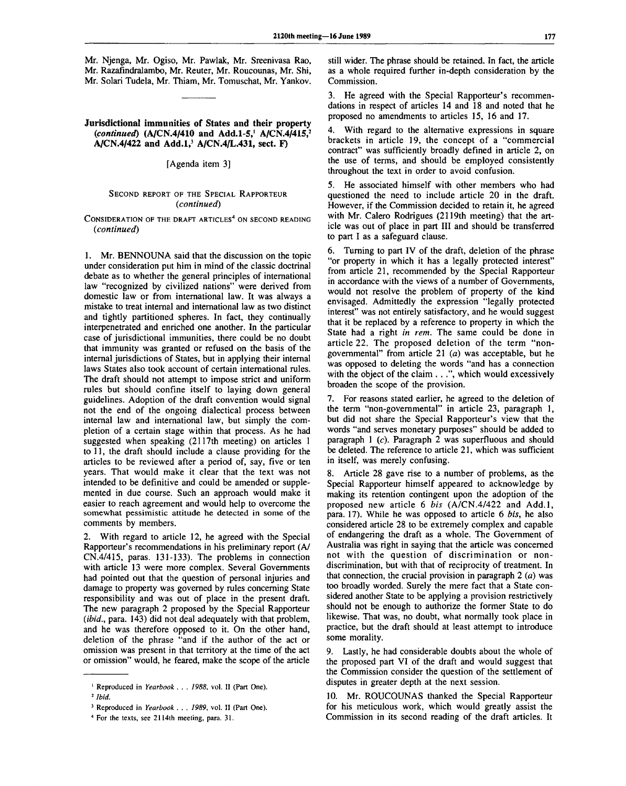Mr. Njenga, Mr. Ogiso, Mr. Pawlak, Mr. Sreenivasa Rao, Mr. Razafindralambo, Mr. Reuter, Mr. Roucounas, Mr. Shi, Mr. Solari Tudela, Mr. Thiam, Mr. Tomuschat, Mr. Yankov.

## **Jurisdictional immunities of States and their property** *(continued)* **(A/CN.4/410 and Add.1-5,<sup>1</sup> A/CN.4/415,<sup>2</sup> A/CN.4/422 and Add.l,<sup>3</sup> A/CN.4/L.431, sect. F)**

#### [Agenda item 3]

## SECOND REPORT OF THE SPECIAL RAPPORTEUR *(continued)*

 $\,$  Consideration of the draft articles $^4$  on second reading *(continued)*

1. Mr. BENNOUNA said that the discussion on the topic under consideration put him in mind of the classic doctrinal debate as to whether the general principles of international law "recognized by civilized nations" were derived from domestic law or from international law. It was always a mistake to treat internal and international law as two distinct and tightly partitioned spheres. In fact, they continually interpenetrated and enriched one another. In the particular case of jurisdictional immunities, there could be no doubt that immunity was granted or refused on the basis of the internal jurisdictions of States, but in applying their internal laws States also took account of certain international rules. The draft should not attempt to impose strict and uniform rules but should confine itself to laying down general guidelines. Adoption of the draft convention would signal not the end of the ongoing dialectical process between internal law and international law, but simply the completion of a certain stage within that process. As he had suggested when speaking (2117th meeting) on articles 1 to 11, the draft should include a clause providing for the articles to be reviewed after a period of, say, five or ten years. That would make it clear that the text was not intended to be definitive and could be amended or supplemented in due course. Such an approach would make it easier to reach agreement and would help to overcome the somewhat pessimistic attitude he detected in some of the comments by members.

2. With regard to article 12, he agreed with the Special Rapporteur's recommendations in his preliminary report (A/ CN.4/415, paras. 131-133). The problems in connection with article 13 were more complex. Several Governments had pointed out that the question of personal injuries and damage to property was governed by rules concerning State responsibility and was out of place in the present draft. The new paragraph 2 proposed by the Special Rapporteur *(ibid.,* para. 143) did not deal adequately with that problem, and he was therefore opposed to it. On the other hand, deletion of the phrase "and if the author of the act or omission was present in that territory at the time of the act or omission" would, he feared, make the scope of the article

still wider. The phrase should be retained. In fact, the article as a whole required further in-depth consideration by the Commission.

3. He agreed with the Special Rapporteur's recommendations in respect of articles 14 and 18 and noted that he proposed no amendments to articles 15, 16 and 17.

4. With regard to the alternative expressions in square brackets in article 19, the concept of a "commercial contract" was sufficiently broadly defined in article 2, on the use of terms, and should be employed consistently throughout the text in order to avoid confusion.

5. He associated himself with other members who had questioned the need to include article 20 in the draft. However, if the Commission decided to retain it, he agreed with Mr. Calero Rodrigues (2119th meeting) that the article was out of place in part III and should be transferred to part I as a safeguard clause.

6. Turning to part IV of the draft, deletion of the phrase "or property in which it has a legally protected interest" from article 21, recommended by the Special Rapporteur in accordance with the views of a number of Governments, would not resolve the problem of property of the kind envisaged. Admittedly the expression "legally protected interest" was not entirely satisfactory, and he would suggest that it be replaced by a reference to property in which the State had a right *in rent.* The same could be done in article 22. The proposed deletion of the term "nongovernmental" from article 21 *(a)* was acceptable, but he was opposed to deleting the words "and has a connection with the object of the claim . . .", which would excessively broaden the scope of the provision.

7. For reasons stated earlier, he agreed to the deletion of the term "non-governmental" in article 23, paragraph 1, but did not share the Special Rapporteur's view that the words "and serves monetary purposes" should be added to paragraph 1 (c). Paragraph 2 was superfluous and should be deleted. The reference to article 21, which was sufficient in itself, was merely confusing.

Article 28 gave rise to a number of problems, as the Special Rapporteur himself appeared to acknowledge by making its retention contingent upon the adoption of the proposed new article 6 *bis* (A/CN.4/422 and Add.l, para. 17). While he was opposed to article 6 *bis,* he also considered article 28 to be extremely complex and capable of endangering the draft as a whole. The Government of Australia was right in saying that the article was concerned not with the question of discrimination or nondiscrimination, but with that of reciprocity of treatment. In that connection, the crucial provision in paragraph 2 *(a)* was too broadly worded. Surely the mere fact that a State considered another State to be applying a provision restrictively should not be enough to authorize the former State to do likewise. That was, no doubt, what normally took place in practice, but the draft should at least attempt to introduce some morality.

9. Lastly, he had considerable doubts about the whole of the proposed part VI of the draft and would suggest that the Commission consider the question of the settlement of disputes in greater depth at the next session.

10. Mr. ROUCOUNAS thanked the Special Rapporteur for his meticulous work, which would greatly assist the Commission in its second reading of the draft articles. It

<sup>&</sup>lt;sup>1</sup> Reproduced in *Yearbook . . . 1988*, vol. II (Part One).

*<sup>2</sup> Ibid.*

<sup>3</sup> Reproduced in *Yearbook . . . 1989,* vol. II (Part One).

<sup>4</sup> For the texts, see 2114th meeting, para. 31.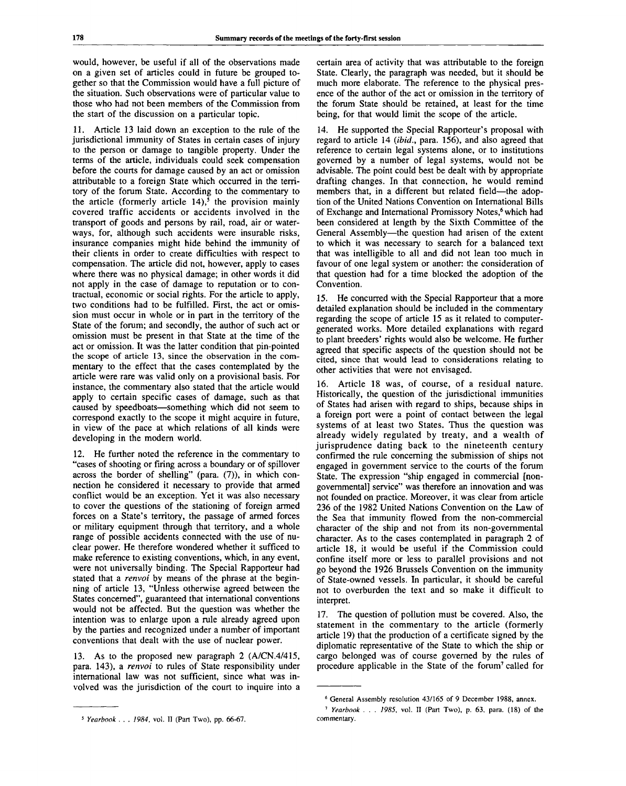would, however, be useful if all of the observations made on a given set of articles could in future be grouped together so that the Commission would have a full picture of the situation. Such observations were of particular value to those who had not been members of the Commission from the start of the discussion on a particular topic.

11. Article 13 laid down an exception to the rule of the jurisdictional immunity of States in certain cases of injury to the person or damage to tangible property. Under the terms of the article, individuals could seek compensation before the courts for damage caused by an act or omission attributable to a foreign State which occurred in the territory of the forum State. According to the commentary to the article (formerly article 14),<sup>5</sup> the provision mainly covered traffic accidents or accidents involved in the transport of goods and persons by rail, road, air or waterways, for, although such accidents were insurable risks, insurance companies might hide behind the immunity of their clients in order to create difficulties with respect to compensation. The article did not, however, apply to cases where there was no physical damage; in other words it did not apply in the case of damage to reputation or to contractual, economic or social rights. For the article to apply, two conditions had to be fulfilled. First, the act or omission must occur in whole or in part in the territory of the State of the forum; and secondly, the author of such act or omission must be present in that State at the time of the act or omission. It was the latter condition that pin-pointed the scope of article 13, since the observation in the commentary to the effect that the cases contemplated by the article were rare was valid only on a provisional basis. For instance, the commentary also stated that the article would apply to certain specific cases of damage, such as that caused by speedboats—something which did not seem to correspond exactly to the scope it might acquire in future, in view of the pace at which relations of all kinds were developing in the modern world.

12. He further noted the reference in the commentary to "cases of shooting or firing across a boundary or of spillover across the border of shelling" (para. (7)), in which connection he considered it necessary to provide that armed conflict would be an exception. Yet it was also necessary to cover the questions of the stationing of foreign armed forces on a State's territory, the passage of armed forces or military equipment through that territory, and a whole range of possible accidents connected with the use of nuclear power. He therefore wondered whether it sufficed to make reference to existing conventions, which, in any event, were not universally binding. The Special Rapporteur had stated that a *renvoi* by means of the phrase at the beginning of article 13, "Unless otherwise agreed between the States concerned", guaranteed that international conventions would not be affected. But the question was whether the intention was to enlarge upon a rule already agreed upon by the parties and recognized under a number of important conventions that dealt with the use of nuclear power.

13. As to the proposed new paragraph 2 (A/CN.4/415, para. 143), a *renvoi* to rules of State responsibility under international law was not sufficient, since what was involved was the jurisdiction of the court to inquire into a

certain area of activity that was attributable to the foreign State. Clearly, the paragraph was needed, but it should be much more elaborate. The reference to the physical presence of the author of the act or omission in the territory of the forum State should be retained, at least for the time being, for that would limit the scope of the article.

14. He supported the Special Rapporteur's proposal with regard to article 14 *(ibid.,* para. 156), and also agreed that reference to certain legal systems alone, or to institutions governed by a number of legal systems, would not be advisable. The point could best be dealt with by appropriate drafting changes. In that connection, he would remind members that, in a different but related field—the adoption of the United Nations Convention on International Bills of Exchange and International Promissory Notes,<sup>6</sup> which had been considered at length by the Sixth Committee of the General Assembly—the question had arisen of the extent to which it was necessary to search for a balanced text that was intelligible to all and did not lean too much in favour of one legal system or another: the consideration of that question had for a time blocked the adoption of the Convention.

15. He concurred with the Special Rapporteur that a more detailed explanation should be included in the commentary regarding the scope of article 15 as it related to computergenerated works. More detailed explanations with regard to plant breeders' rights would also be welcome. He further agreed that specific aspects of the question should not be cited, since that would lead to considerations relating to other activities that were not envisaged.

16. Article 18 was, of course, of a residual nature. Historically, the question of the jurisdictional immunities of States had arisen with regard to ships, because ships in a foreign port were a point of contact between the legal systems of at least two States. Thus the question was already widely regulated by treaty, and a wealth of jurisprudence dating back to the nineteenth century confirmed the rule concerning the submission of ships not engaged in government service to the courts of the forum State. The expression "ship engaged in commercial [nongovernmental] service" was therefore an innovation and was not founded on practice. Moreover, it was clear from article 236 of the 1982 United Nations Convention on the Law of the Sea that immunity flowed from the non-commercial character of the ship and not from its non-governmental character. As to the cases contemplated in paragraph 2 of article 18, it would be useful if the Commission could confine itself more or less to parallel provisions and not go beyond the 1926 Brussels Convention on the immunity of State-owned vessels. In particular, it should be careful not to overburden the text and so make it difficult to interpret.

17. The question of pollution must be covered. Also, the statement in the commentary to the article (formerly article 19) that the production of a certificate signed by the diplomatic representative of the State to which the ship or cargo belonged was of course governed by the rules of procedure applicable in the State of the forum<sup>7</sup> called for

<sup>5</sup>  *Yearbook . . . 1984,* vol. II (Part Two), pp. 66-67.

<sup>6</sup> General Assembly resolution 43/165 of 9 December 1988, annex.

<sup>7</sup>  *Yearbook . . . 1985,* vol. II (Part Two), p. 63, para. (18) of the commentary.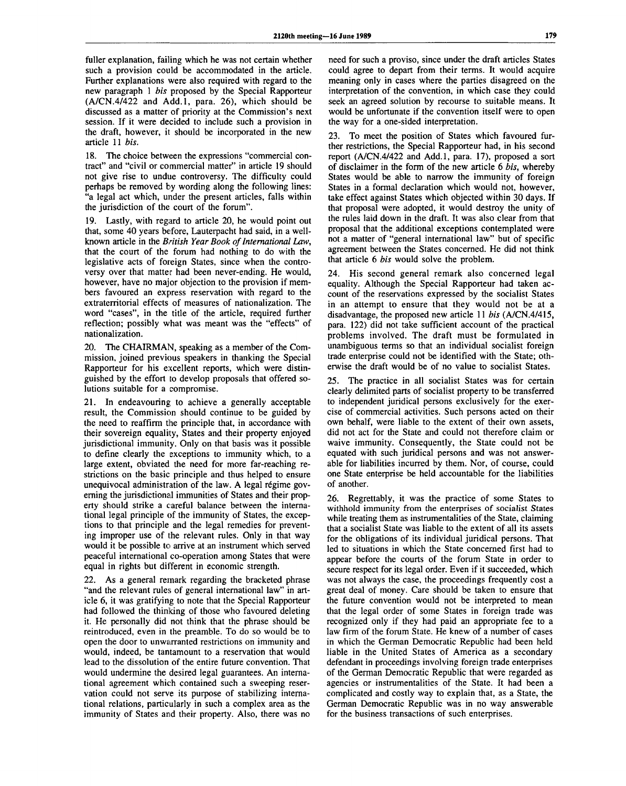fuller explanation, failing which he was not certain whether such a provision could be accommodated in the article. Further explanations were also required with regard to the new paragraph 1 *bis* proposed by the Special Rapporteur (A/CN.4/422 and Add.l, para. 26), which should be discussed as a matter of priority at the Commission's next session. If it were decided to include such a provision in the draft, however, it should be incorporated in the new article 11 *bis.*

18. The choice between the expressions "commercial contract" and "civil or commercial matter" in article 19 should not give rise to undue controversy. The difficulty could perhaps be removed by wording along the following lines: "a legal act which, under the present articles, falls within the jurisdiction of the court of the forum".

19. Lastly, with regard to article 20, he would point out that, some 40 years before, Lauterpacht had said, in a wellknown article in the *British Year Book of International Law,* that the court of the forum had nothing to do with the legislative acts of foreign States, since when the controversy over that matter had been never-ending. He would, however, have no major objection to the provision if members favoured an express reservation with regard to the extraterritorial effects of measures of nationalization. The word "cases", in the title of the article, required further reflection; possibly what was meant was the "effects" of nationalization.

20. The CHAIRMAN, speaking as a member of the Commission, joined previous speakers in thanking the Special Rapporteur for his excellent reports, which were distinguished by the effort to develop proposals that offered solutions suitable for a compromise.

21. In endeavouring to achieve a generally acceptable result, the Commission should continue to be guided by the need to reaffirm the principle that, in accordance with their sovereign equality, States and their property enjoyed jurisdictional immunity. Only on that basis was it possible to define clearly the exceptions to immunity which, to a large extent, obviated the need for more far-reaching restrictions on the basic principle and thus helped to ensure unequivocal administration of the law. A legal régime governing the jurisdictional immunities of States and their property should strike a careful balance between the international legal principle of the immunity of States, the exceptions to that principle and the legal remedies for preventing improper use of the relevant rules. Only in that way would it be possible to arrive at an instrument which served peaceful international co-operation among States that were equal in rights but different in economic strength.

22. As a general remark regarding the bracketed phrase "and the relevant rules of general international law" in article 6, it was gratifying to note that the Special Rapporteur had followed the thinking of those who favoured deleting it. He personally did not think that the phrase should be reintroduced, even in the preamble. To do so would be to open the door to unwarranted restrictions on immunity and would, indeed, be tantamount to a reservation that would lead to the dissolution of the entire future convention. That would undermine the desired legal guarantees. An international agreement which contained such a sweeping reservation could not serve its purpose of stabilizing international relations, particularly in such a complex area as the immunity of States and their property. Also, there was no need for such a proviso, since under the draft articles States could agree to depart from their terms. It would acquire meaning only in cases where the parties disagreed on the interpretation of the convention, in which case they could seek an agreed solution by recourse to suitable means. It would be unfortunate if the convention itself were to open the way for a one-sided interpretation.

23. To meet the position of States which favoured further restrictions, the Special Rapporteur had, in his second report (A/CN.4/422 and Add.l, para. 17), proposed a sort of disclaimer in the form of the new article 6 *bis,* whereby States would be able to narrow the immunity of foreign States in a formal declaration which would not, however, take effect against States which objected within 30 days. If that proposal were adopted, it would destroy the unity of the rules laid down in the draft. It was also clear from that proposal that the additional exceptions contemplated were not a matter of "general international law" but of specific agreement between the States concerned. He did not think that article 6 *bis* would solve the problem.

24. His second general remark also concerned legal equality. Although the Special Rapporteur had taken account of the reservations expressed by the socialist States in an attempt to ensure that they would not be at a disadvantage, the proposed new article 11 *bis* (A/CN.4/415, para. 122) did not take sufficient account of the practical problems involved. The draft must be formulated in unambiguous terms so that an individual socialist foreign trade enterprise could not be identified with the State; otherwise the draft would be of no value to socialist States.

25. The practice in all socialist States was for certain clearly delimited parts of socialist property to be transferred to independent juridical persons exclusively for the exercise of commercial activities. Such persons acted on their own behalf, were liable to the extent of their own assets, did not act for the State and could not therefore claim or waive immunity. Consequently, the State could not be equated with such juridical persons and was not answerable for liabilities incurred by them. Nor, of course, could one State enterprise be held accountable for the liabilities of another.

26. Regrettably, it was the practice of some States to withhold immunity from the enterprises of socialist States while treating them as instrumentalities of the State, claiming that a socialist State was liable to the extent of all its assets for the obligations of its individual juridical persons. That led to situations in which the State concerned first had to appear before the courts of the forum State in order to secure respect for its legal order. Even if it succeeded, which was not always the case, the proceedings frequently cost a great deal of money. Care should be taken to ensure that the future convention would not be interpreted to mean that the legal order of some States in foreign trade was recognized only if they had paid an appropriate fee to a law firm of the forum State. He knew of a number of cases in which the German Democratic Republic had been held liable in the United States of America as a secondary defendant in proceedings involving foreign trade enterprises of the German Democratic Republic that were regarded as agencies or instrumentalities of the State. It had been a complicated and costly way to explain that, as a State, the German Democratic Republic was in no way answerable for the business transactions of such enterprises.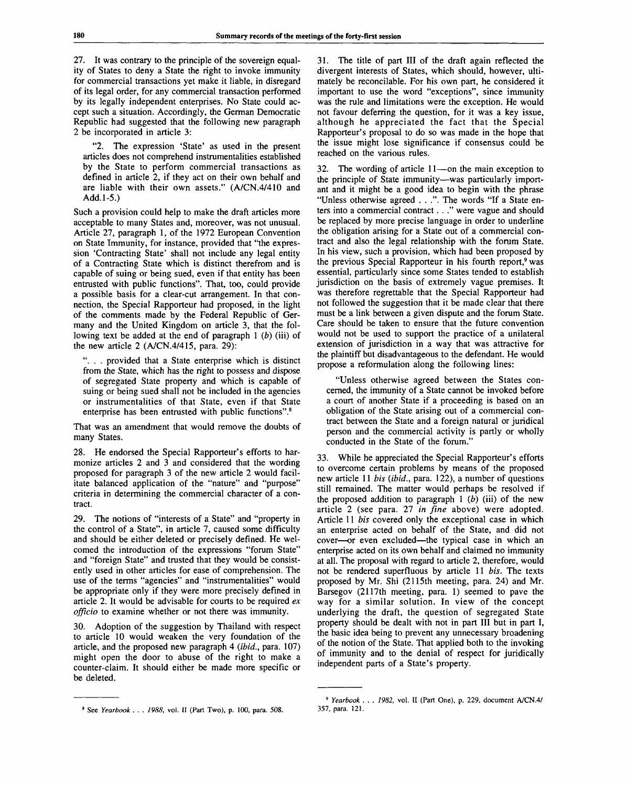27. It was contrary to the principle of the sovereign equality of States to deny a State the right to invoke immunity for commercial transactions yet make it liable, in disregard of its legal order, for any commercial transaction performed by its legally independent enterprises. No State could accept such a situation. Accordingly, the German Democratic Republic had suggested that the following new paragraph 2 be incorporated in article 3:

The expression 'State' as used in the present articles does not comprehend instrumentalities established by the State to perform commercial transactions as defined in article 2, if they act on their own behalf and are liable with their own assets." (A/CN.4/410 and Add. 1-5.)

Such a provision could help to make the draft articles more acceptable to many States and, moreover, was not unusual. Article 27, paragraph 1, of the 1972 European Convention on State Immunity, for instance, provided that "the expression 'Contracting State' shall not include any legal entity of a Contracting State which is distinct therefrom and is capable of suing or being sued, even if that entity has been entrusted with public functions". That, too, could provide a possible basis for a clear-cut arrangement. In that connection, the Special Rapporteur had proposed, in the light of the comments made by the Federal Republic of Germany and the United Kingdom on article 3, that the following text be added at the end of paragraph 1 *(b)* (iii) of the new article  $2$  (A/CN.4/415, para. 29):

". . . provided that a State enterprise which is distinct from the State, which has the right to possess and dispose of segregated State property and which is capable of suing or being sued shall not be included in the agencies or instrumentalities of that State, even if that State enterprise has been entrusted with public functions".<sup>8</sup>

That was an amendment that would remove the doubts of many States.

28. He endorsed the Special Rapporteur's efforts to harmonize articles 2 and 3 and considered that the wording proposed for paragraph 3 of the new article 2 would facilitate balanced application of the "nature" and "purpose" criteria in determining the commercial character of a contract.

29. The notions of "interests of a State" and "property in the control of a State", in article 7, caused some difficulty and should be either deleted or precisely defined. He welcomed the introduction of the expressions "forum State" and "foreign State" and trusted that they would be consistently used in other articles for ease of comprehension. The use of the terms "agencies" and "instrumentalities" would be appropriate only if they were more precisely defined in article 2. It would be advisable for courts to be required *ex officio* to examine whether or not there was immunity.

30. Adoption of the suggestion by Thailand with respect to article 10 would weaken the very foundation of the article, and the proposed new paragraph 4 *(ibid.,* para. 107) might open the door to abuse of the right to make a counter-claim. It should either be made more specific or be deleted.

31. The title of part III of the draft again reflected the divergent interests of States, which should, however, ultimately be reconcilable. For his own part, he considered it important to use the word "exceptions", since immunity was the rule and limitations were the exception. He would not favour deferring the question, for it was a key issue, although he appreciated the fact that the Special Rapporteur's proposal to do so was made in the hope that the issue might lose significance if consensus could be reached on the various rules.

32. The wording of article 11—on the main exception to the principle of State immunity—was particularly important and it might be a good idea to begin with the phrase "Unless otherwise agreed . . .". The words "If a State enters into a commercial contract. . ." were vague and should be replaced by more precise language in order to underline the obligation arising for a State out of a commercial contract and also the legal relationship with the forum State. In his view, such a provision, which had been proposed by the previous Special Rapporteur in his fourth report,<sup>9</sup> was essential, particularly since some States tended to establish jurisdiction on the basis of extremely vague premises. It was therefore regrettable that the Special Rapporteur had not followed the suggestion that it be made clear that there must be a link between a given dispute and the forum State. Care should be taken to ensure that the future convention would not be used to support the practice of a unilateral extension of jurisdiction in a way that was attractive for the plaintiff but disadvantageous to the defendant. He would propose a reformulation along the following lines:

"Unless otherwise agreed between the States concerned, the immunity of a State cannot be invoked before a court of another State if a proceeding is based on an obligation of the State arising out of a commercial contract between the State and a foreign natural or juridical person and the commercial activity is partly or wholly conducted in the State of the forum."

33. While he appreciated the Special Rapporteur's efforts to overcome certain problems by means of the proposed new article 11 *bis (ibid.,* para. 122), a number of questions still remained. The matter would perhaps be resolved if the proposed addition to paragraph 1 *(b)* (iii) of the new article 2 (see para. 27 *in fine* above) were adopted. Article 11 *bis* covered only the exceptional case in which an enterprise acted on behalf of the State, and did not cover—or even excluded—the typical case in which an enterprise acted on its own behalf and claimed no immunity at all. The proposal with regard to article 2, therefore, would not be rendered superfluous by article 11 *bis.* The texts proposed by Mr. Shi (2115th meeting, para. 24) and Mr. Barsegov (2117th meeting, para. 1) seemed to pave the way for a similar solution. In view of the concept underlying the draft, the question of segregated State property should be dealt with not in part III but in part I, the basic idea being to prevent any unnecessary broadening of the notion of the State. That applied both to the invoking of immunity and to the denial of respect for juridically independent parts of a State's property.

See *Yearbook . .* . *1988,* vol. II (Part Two), p. 100, para. 508.

<sup>9</sup>  *Yearbook . . . 1982,* vol. II (Part One), p. 229, document A/CN.4/ 357, para. 121.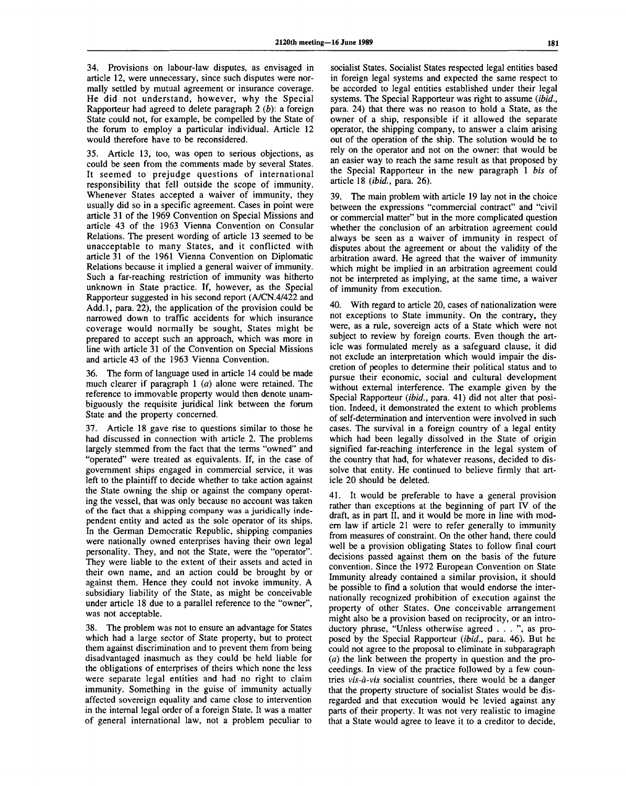34. Provisions on labour-law disputes, as envisaged in article 12, were unnecessary, since such disputes were normally settled by mutual agreement or insurance coverage. He did not understand, however, why the Special Rapporteur had agreed to delete paragraph 2 *(b):* a foreign State could not, for example, be compelled by the State of the forum to employ a particular individual. Article 12 would therefore have to be reconsidered.

35. Article 13, too, was open to serious objections, as could be seen from the comments made by several States. It seemed to prejudge questions of international responsibility that fell outside the scope of immunity. Whenever States accepted a waiver of immunity, they usually did so in a specific agreement. Cases in point were article 31 of the 1969 Convention on Special Missions and article 43 of the 1963 Vienna Convention on Consular Relations. The present wording of article 13 seemed to be unacceptable to many States, and it conflicted with article 31 of the 1961 Vienna Convention on Diplomatic Relations because it implied a general waiver of immunity. Such a far-reaching restriction of immunity was hitherto unknown in State practice. If, however, as the Special Rapporteur suggested in his second report (A/CN.4/422 and Add.l, para. 22), the application of the provision could be narrowed down to traffic accidents for which insurance coverage would normally be sought, States might be prepared to accept such an approach, which was more in line with article 31 of the Convention on Special Missions and article 43 of the 1963 Vienna Convention.

36. The form of language used in article 14 could be made much clearer if paragraph 1 *(a)* alone were retained. The reference to immovable property would then denote unambiguously the requisite juridical link between the forum State and the property concerned.

37. Article 18 gave rise to questions similar to those he had discussed in connection with article 2. The problems largely stemmed from the fact that the terms "owned" and "operated" were treated as equivalents. If, in the case of government ships engaged in commercial service, it was left to the plaintiff to decide whether to take action against the State owning the ship or against the company operating the vessel, that was only because no account was taken of the fact that a shipping company was a juridically independent entity and acted as the sole operator of its ships. In the German Democratic Republic, shipping companies were nationally owned enterprises having their own legal personality. They, and not the State, were the "operator". They were liable to the extent of their assets and acted in their own name, and an action could be brought by or against them. Hence they could not invoke immunity. A subsidiary liability of the State, as might be conceivable under article 18 due to a parallel reference to the "owner", was not acceptable.

38. The problem was not to ensure an advantage for States which had a large sector of State property, but to protect them against discrimination and to prevent them from being disadvantaged inasmuch as they could be held liable for the obligations of enterprises of theirs which none the less were separate legal entities and had no right to claim immunity. Something in the guise of immunity actually affected sovereign equality and came close to intervention in the internal legal order of a foreign State. It was a matter of general international law, not a problem peculiar to

socialist States. Socialist States respected legal entities based in foreign legal systems and expected the same respect to be accorded to legal entities established under their legal systems. The Special Rapporteur was right to assume *(ibid.,* para. 24) that there was no reason to hold a State, as the owner of a ship, responsible if it allowed the separate operator, the shipping company, to answer a claim arising out of the operation of the ship. The solution would be to rely on the operator and not on the owner: that would be an easier way to reach the same result as that proposed by the Special Rapporteur in the new paragraph 1 *bis* of article 18 *(ibid.,* para. 26).

39. The main problem with article 19 lay not in the choice between the expressions "commercial contract" and "civil or commercial matter" but in the more complicated question whether the conclusion of an arbitration agreement could always be seen as a waiver of immunity in respect of disputes about the agreement or about the validity of the arbitration award. He agreed that the waiver of immunity which might be implied in an arbitration agreement could not be interpreted as implying, at the same time, a waiver of immunity from execution.

40. With regard to article 20, cases of nationalization were not exceptions to State immunity. On the contrary, they were, as a rule, sovereign acts of a State which were not subject to review by foreign courts. Even though the article was formulated merely as a safeguard clause, it did not exclude an interpretation which would impair the discretion of peoples to determine their political status and to pursue their economic, social and cultural development without external interference. The example given by the Special Rapporteur *(ibid.,* para. 41) did not alter that position. Indeed, it demonstrated the extent to which problems of self-determination and intervention were involved in such cases. The survival in a foreign country of a legal entity which had been legally dissolved in the State of origin signified far-reaching interference in the legal system of the country that had, for whatever reasons, decided to dissolve that entity. He continued to believe firmly that article 20 should be deleted.

41. It would be preferable to have a general provision rather than exceptions at the beginning of part IV of the draft, as in part II, and it would be more in line with modern law if article 21 were to refer generally to immunity from measures of constraint. On the other hand, there could well be a provision obligating States to follow final court decisions passed against them on the basis of the future convention. Since the 1972 European Convention on State Immunity already contained a similar provision, it should be possible to find a solution that would endorse the internationally recognized prohibition of execution against the property of other States. One conceivable arrangement might also be a provision based on reciprocity, or an introductory phrase, "Unless otherwise agreed . . . ", as proposed by the Special Rapporteur *(ibid.,* para. 46). But he could not agree to the proposal to eliminate in subparagraph *(a)* the link between the property in question and the proceedings. In view of the practice followed by a few countries *vis-a-vis* socialist countries, there would be a danger that the property structure of socialist States would be disregarded and that execution would be levied against any parts of their property. It was not very realistic to imagine that a State would agree to leave it to a creditor to decide,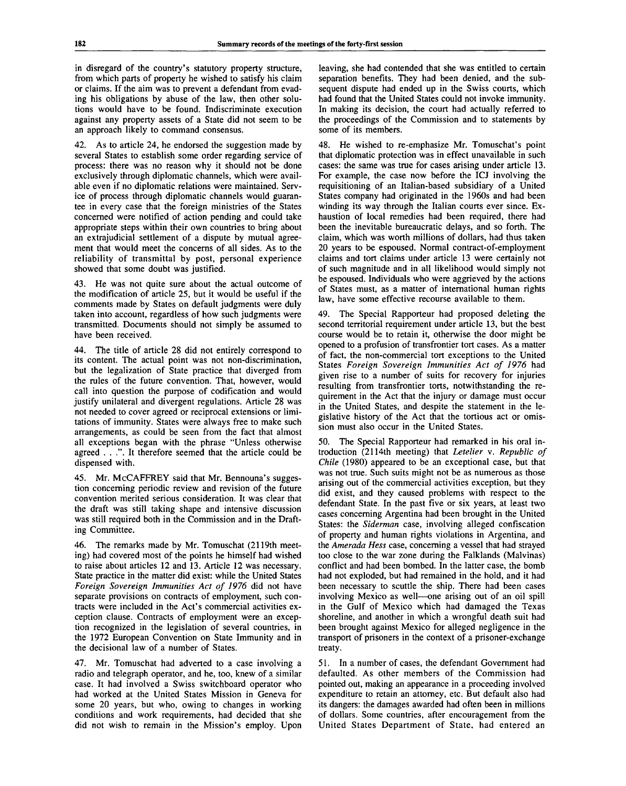in disregard of the country's statutory property structure, from which parts of property he wished to satisfy his claim or claims. If the aim was to prevent a defendant from evading his obligations by abuse of the law, then other solutions would have to be found. Indiscriminate execution against any property assets of a State did not seem to be an approach likely to command consensus.

42. As to article 24, he endorsed the suggestion made by several States to establish some order regarding service of process: there was no reason why it should not be done exclusively through diplomatic channels, which were available even if no diplomatic relations were maintained. Service of process through diplomatic channels would guarantee in every case that the foreign ministries of the States concerned were notified of action pending and could take appropriate steps within their own countries to bring about an extrajudicial settlement of a dispute by mutual agreement that would meet the concerns of all sides. As to the reliability of transmittal by post, personal experience showed that some doubt was justified.

43. He was not quite sure about the actual outcome of the modification of article 25, but it would be useful if the comments made by States on default judgments were duly taken into account, regardless of how such judgments were transmitted. Documents should not simply be assumed to have been received.

44. The title of article 28 did not entirely correspond to its content. The actual point was not non-discrimination, but the legalization of State practice that diverged from the rules of the future convention. That, however, would call into question the purpose of codification and would justify unilateral and divergent regulations. Article 28 was not needed to cover agreed or reciprocal extensions or limitations of immunity. States were always free to make such arrangements, as could be seen from the fact that almost all exceptions began with the phrase "Unless otherwise agreed . . .". It therefore seemed that the article could be dispensed with.

45. Mr. McCAFFREY said that Mr. Bennouna's suggestion concerning periodic review and revision of the future convention merited serious consideration. It was clear that the draft was still taking shape and intensive discussion was still required both in the Commission and in the Drafting Committee.

46. The remarks made by Mr. Tomuschat (2119th meeting) had covered most of the points he himself had wished to raise about articles 12 and 13. Article 12 was necessary. State practice in the matter did exist: while the United States *Foreign Sovereign Immunities Act of 1976* did not have separate provisions on contracts of employment, such contracts were included in the Act's commercial activities exception clause. Contracts of employment were an exception recognized in the legislation of several countries, in the 1972 European Convention on State Immunity and in the decisional law of a number of States.

47. Mr. Tomuschat had adverted to a case involving a radio and telegraph operator, and he, too, knew of a similar case. It had involved a Swiss switchboard operator who had worked at the United States Mission in Geneva for some 20 years, but who, owing to changes in working conditions and work requirements, had decided that she did not wish to remain in the Mission's employ. Upon leaving, she had contended that she was entitled to certain separation benefits. They had been denied, and the subsequent dispute had ended up in the Swiss courts, which had found that the United States could not invoke immunity. In making its decision, the court had actually referred to the proceedings of the Commission and to statements by some of its members.

48. He wished to re-emphasize Mr. Tomuschat's point that diplomatic protection was in effect unavailable in such cases: the same was true for cases arising under article 13. For example, the case now before the ICJ involving the requisitioning of an Italian-based subsidiary of a United States company had originated in the 1960s and had been winding its way through the Italian courts ever since. Exhaustion of local remedies had been required, there had been the inevitable bureaucratic delays, and so forth. The claim, which was worth millions of dollars, had thus taken 20 years to be espoused. Normal contract-of-employment claims and tort claims under article 13 were certainly not of such magnitude and in all likelihood would simply not be espoused. Individuals who were aggrieved by the actions of States must, as a matter of international human rights law, have some effective recourse available to them.

49. The Special Rapporteur had proposed deleting the second territorial requirement under article 13, but the best course would be to retain it, otherwise the door might be opened to a profusion of transfrontier tort cases. As a matter of fact, the non-commercial tort exceptions to the United States *Foreign Sovereign Immunities Act of 1976* had given rise to a number of suits for recovery for injuries resulting from transfrontier torts, notwithstanding the requirement in the Act that the injury or damage must occur in the United States, and despite the statement in the legislative history of the Act that the tortious act or omission must also occur in the United States.

50. The Special Rapporteur had remarked in his oral introduction (2114th meeting) that *Letelier* v. *Republic of Chile* (1980) appeared to be an exceptional case, but that was not true. Such suits might not be as numerous as those arising out of the commercial activities exception, but they did exist, and they caused problems with respect to the defendant State. In the past five or six years, at least two cases concerning Argentina had been brought in the United States: the *Siderman* case, involving alleged confiscation of property and human rights violations in Argentina, and the *Amerada Hess* case, concerning a vessel that had strayed too close to the war zone during the Falklands (Malvinas) conflict and had been bombed. In the latter case, the bomb had not exploded, but had remained in the hold, and it had been necessary to scuttle the ship. There had been cases involving Mexico as well—one arising out of an oil spill in the Gulf of Mexico which had damaged the Texas shoreline, and another in which a wrongful death suit had been brought against Mexico for alleged negligence in the transport of prisoners in the context of a prisoner-exchange treaty.

51. In a number of cases, the defendant Government had defaulted. As other members of the Commission had pointed out, making an appearance in a proceeding involved expenditure to retain an attorney, etc. But default also had its dangers: the damages awarded had often been in millions of dollars. Some countries, after encouragement from the United States Department of State, had entered an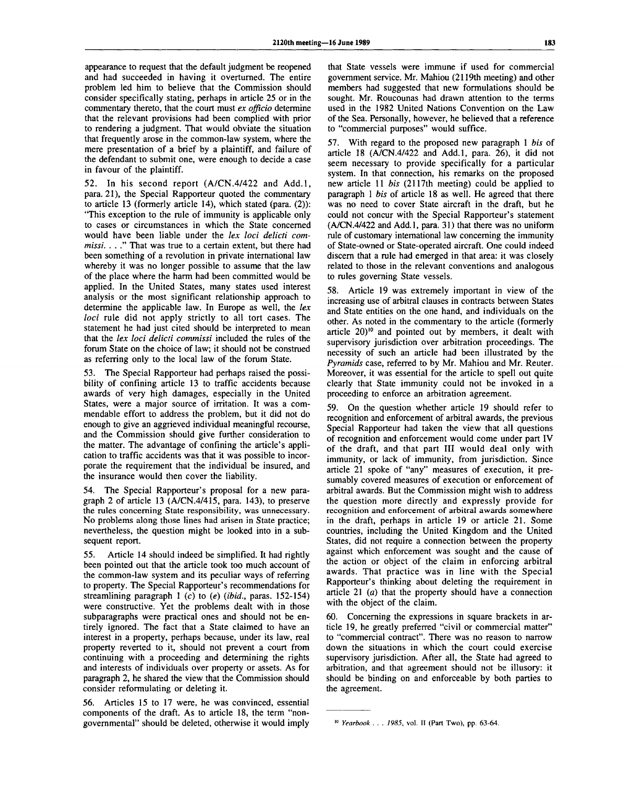appearance to request that the default judgment be reopened and had succeeded in having it overturned. The entire problem led him to believe that the Commission should consider specifically stating, perhaps in article 25 or in the commentary thereto, that the court must ex officio determine that the relevant provisions had been complied with prior to rendering a judgment. That would obviate the situation that frequently arose in the common-law system, where the mere presentation of a brief by a plaintiff, and failure of the defendant to submit one, were enough to decide a case in favour of the plaintiff.

52. In his second report (A/CN.4/422 and Add.l, para. 21), the Special Rapporteur quoted the commentary to article 13 (formerly article 14), which stated (para. (2)): "This exception to the rule of immunity is applicable only to cases or circumstances in which the State concerned would have been liable under the *lex loci delicti commissi. .* . ." That was true to a certain extent, but there had been something of a revolution in private international law whereby it was no longer possible to assume that the law of the place where the harm had been committed would be applied. In the United States, many states used interest analysis or the most significant relationship approach to determine the applicable law. In Europe as well, the *lex loci* rule did not apply strictly to all tort cases. The statement he had just cited should be interpreted to mean that the *lex loci delicti commissi* included the rules of the forum State on the choice of law; it should not be construed as referring only to the local law of the forum State.

53. The Special Rapporteur had perhaps raised the possibility of confining article 13 to traffic accidents because awards of very high damages, especially in the United States, were a major source of irritation. It was a commendable effort to address the problem, but it did not do enough to give an aggrieved individual meaningful recourse, and the Commission should give further consideration to the matter. The advantage of confining the article's application to traffic accidents was that it was possible to incorporate the requirement that the individual be insured, and the insurance would then cover the liability.

54. The Special Rapporteur's proposal for a new paragraph 2 of article 13 (A/CN.4/415, para. 143), to preserve the rules concerning State responsibility, was unnecessary. No problems along those lines had arisen in State practice; nevertheless, the question might be looked into in a subsequent report.

55. Article 14 should indeed be simplified. It had rightly been pointed out that the article took too much account of the common-law system and its peculiar ways of referring to property. The Special Rapporteur's recommendations for streamlining paragraph 1 (c) to *(e) (ibid.,* paras. 152-154) were constructive. Yet the problems dealt with in those subparagraphs were practical ones and should not be entirely ignored. The fact that a State claimed to have an interest in a property, perhaps because, under its law, real property reverted to it, should not prevent a court from continuing with a proceeding and determining the rights and interests of individuals over property or assets. As for paragraph 2, he shared the view that the Commission should consider reformulating or deleting it.

56. Articles 15 to 17 were, he was convinced, essential components of the draft. As to article 18, the term "nongovernmental" should be deleted, otherwise it would imply

that State vessels were immune if used for commercial government service. Mr. Mahiou (2119th meeting) and other members had suggested that new formulations should be sought. Mr. Roucounas had drawn attention to the terms used in the 1982 United Nations Convention on the Law of the Sea. Personally, however, he believed that a reference to "commercial purposes" would suffice.

57. With regard to the proposed new paragraph 1 *bis* of article 18 (A/CN.4/422 and Add.l, para. 26), it did not seem necessary to provide specifically for a particular system. In that connection, his remarks on the proposed new article 11 *bis* (2117th meeting) could be applied to paragraph 1 *bis* of article 18 as well. He agreed that there was no need to cover State aircraft in the draft, but he could not concur with the Special Rapporteur's statement (A/CN.4/422 and Add. 1, para. 31) that there was no uniform rule of customary international law concerning the immunity of State-owned or State-operated aircraft. One could indeed discern that a rule had emerged in that area: it was closely related to those in the relevant conventions and analogous to rules governing State vessels.

58. Article 19 was extremely important in view of the increasing use of arbitral clauses in contracts between States and State entities on the one hand, and individuals on the other. As noted in the commentary to the article (formerly article  $20$ <sup>10</sup> and pointed out by members, it dealt with supervisory jurisdiction over arbitration proceedings. The necessity of such an article had been illustrated by the *Pyramids* case, referred to by Mr. Mahiou and Mr. Reuter. Moreover, it was essential for the article to spell out quite clearly that State immunity could not be invoked in a proceeding to enforce an arbitration agreement.

59. On the question whether article 19 should refer to recognition and enforcement of arbitral awards, the previous Special Rapporteur had taken the view that all questions of recognition and enforcement would come under part IV of the draft, and that part III would deal only with immunity, or lack of immunity, from jurisdiction. Since article 21 spoke of "any" measures of execution, it presumably covered measures of execution or enforcement of arbitral awards. But the Commission might wish to address the question more directly and expressly provide for recognition and enforcement of arbitral awards somewhere in the draft, perhaps in article 19 or article 21. Some countries, including the United Kingdom and the United States, did not require a connection between the property against which enforcement was sought and the cause of the action or object of the claim in enforcing arbitral awards. That practice was in line with the Special Rapporteur's thinking about deleting the requirement in article 21 *(a)* that the property should have a connection with the object of the claim.

60. Concerning the expressions in square brackets in article 19, he greatly preferred "civil or commercial matter" to "commercial contract". There was no reason to narrow down the situations in which the court could exercise supervisory jurisdiction. After all, the State had agreed to arbitration, and that agreement should not be illusory: it should be binding on and enforceable by both parties to the agreement.

*Yearbook . . . 1985,* vol. II (Part Two), pp. 63-64.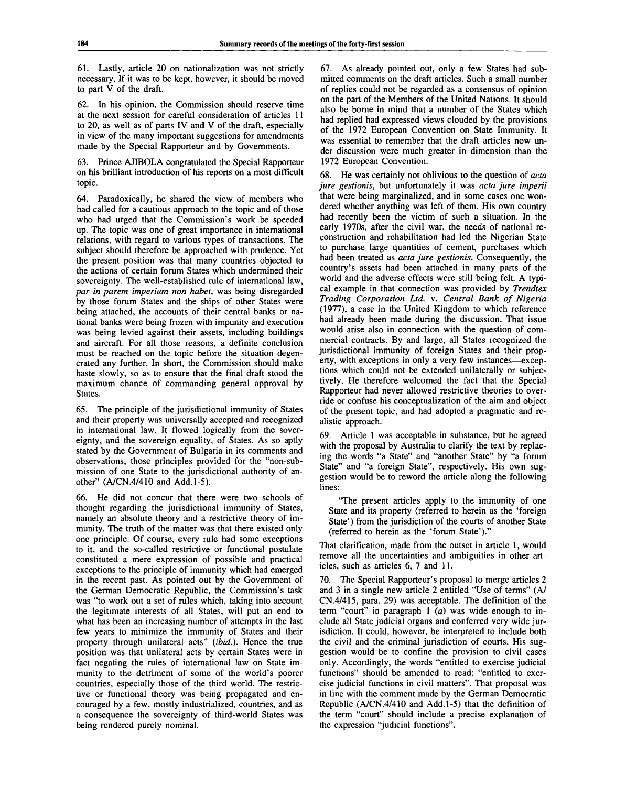61. Lastly, article 20 on nationalization was not strictly necessary. If it was to be kept, however, it should be moved to part V of the draft.

62. In his opinion, the Commission should reserve time at the next session for careful consideration of articles 11 to 20, as well as of parts IV and V of the draft, especially in view of the many important suggestions for amendments made by the Special Rapporteur and by Governments.

63. Prince AJIBOLA congratulated the Special Rapporteur on his brilliant introduction of his reports on a most difficult topic.

64. Paradoxically, he shared the view of members who had called for a cautious approach to the topic and of those who had urged that the Commission's work be speeded up. The topic was one of great importance in international relations, with regard to various types of transactions. The subject should therefore be approached with prudence. Yet the present position was that many countries objected to the actions of certain forum States which undermined their sovereignty. The well-established rule of international law, *par in parent imperium non habet,* was being disregarded by those forum States and the ships of other States were being attached, the accounts of their central banks or national banks were being frozen with impunity and execution was being levied against their assets, including buildings and aircraft. For all those reasons, a definite conclusion must be reached on the topic before the situation degenerated any further. In short, the Commission should make haste slowly, so as to ensure that the final draft stood the maximum chance of commanding general approval by States.

65. The principle of the jurisdictional immunity of States and their property was universally accepted and recognized in international law. It flowed logically from the sovereignty, and the sovereign equality, of States. As so aptly stated by the Government of Bulgaria in its comments and observations, those principles provided for the "non-submission of one State to the jurisdictional authority of another" (A/CN.4/410 and Add. 1-5).

66. He did not concur that there were two schools of thought regarding the jurisdictional immunity of States, namely an absolute theory and a restrictive theory of immunity. The truth of the matter was that there existed only one principle. Of course, every rule had some exceptions to it, and the so-called restrictive or functional postulate constituted a mere expression of possible and practical exceptions to the principle of immunity which had emerged in the recent past. As pointed out by the Government of the German Democratic Republic, the Commission's task was "to work out a set of rules which, taking into account the legitimate interests of all States, will put an end to what has been an increasing number of attempts in the last few years to minimize the immunity of States and their property through unilateral acts" *(ibid.).* Hence the true position was that unilateral acts by certain States were in fact negating the rules of international law on State immunity to the detriment of some of the world's poorer countries, especially those of the third world. The restrictive or functional theory was being propagated and encouraged by a few, mostly industrialized, countries, and as a consequence the sovereignty of third-world States was being rendered purely nominal.

67. As already pointed out, only a few States had submitted comments on the draft articles. Such a small number of replies could not be regarded as a consensus of opinion on the part of the Members of the United Nations. It should also be borne in mind that a number of the States which had replied had expressed views clouded by the provisions of the 1972 European Convention on State Immunity. It was essential to remember that the draft articles now under discussion were much greater in dimension than the 1972 European Convention.

68. He was certainly not oblivious to the question of *acta jure gestionis,* but unfortunately it was *acta jure imperil* that were being marginalized, and in some cases one wondered whether anything was left of them. His own country had recently been the victim of such a situation. In the early 1970s, after the civil war, the needs of national reconstruction and rehabilitation had led the Nigerian State to purchase large quantities of cement, purchases which had been treated as *acta jure gestionis.* Consequently, the country's assets had been attached in many parts of the world and the adverse effects were still being felt. A typical example in that connection was provided by *Trendtex Trading Corporation Ltd.* v. *Central Bank of Nigeria* (1977), a case in the United Kingdom to which reference had already been made during the discussion. That issue would arise also in connection with the question of commercial contracts. By and large, all States recognized the jurisdictional immunity of foreign States and their property, with exceptions in only a very few instances—exceptions which could not be extended unilaterally or subjectively. He therefore welcomed the fact that the Special Rapporteur had never allowed restrictive theories to override or confuse his conceptualization of the aim and object of the present topic, and had adopted a pragmatic and realistic approach.

69. Article 1 was acceptable in substance, but he agreed with the proposal by Australia to clarify the text by replacing the words "a State" and "another State" by "a forum State" and "a foreign State", respectively. His own suggestion would be to reword the article along the following lines:

"The present articles apply to the immunity of one State and its property (referred to herein as the 'foreign State') from the jurisdiction of the courts of another State (referred to herein as the 'forum State')."

That clarification, made from the outset in article 1, would remove all the uncertainties and ambiguities in other articles, such as articles 6, 7 and 11.

70. The Special Rapporteur's proposal to merge articles 2 and 3 in a single new article 2 entitled "Use of terms" (A/ CN.4/415, para. 29) was acceptable. The definition of the term "court" in paragraph 1 *(a)* was wide enough to include all State judicial organs and conferred very wide jurisdiction. It could, however, be interpreted to include both the civil and the criminal jurisdiction of courts. His suggestion would be to confine the provision to civil cases only. Accordingly, the words "entitled to exercise judicial functions" should be amended to read: "entitled to exercise judicial functions in civil matters". That proposal was in line with the comment made by the German Democratic Republic (A/CN.4/410 and Add. 1-5) that the definition of the term "court" should include a precise explanation of the expression "judicial functions".